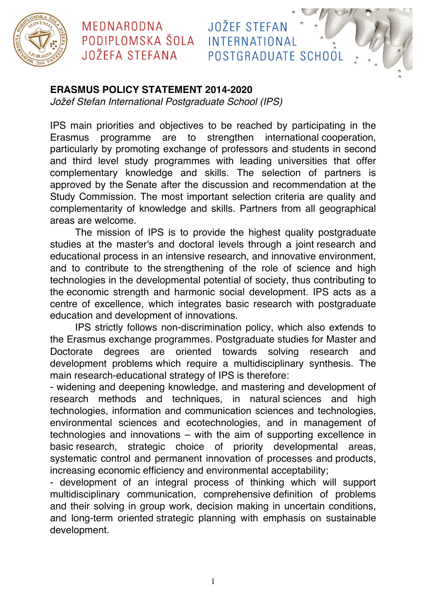

### MEDNARODNA PODIPLOMSKA ŠOLA **JOŽEFA STEFANA**

#### **ERASMUS POLICY STATEMENT 2014-2020**

*Jo*ž*ef Stefan International Postgraduate School (IPS)*

IPS main priorities and objectives to be reached by participating in the Erasmus programme are to strengthen international cooperation, particularly by promoting exchange of professors and students in second and third level study programmes with leading universities that offer complementary knowledge and skills. The selection of partners is approved by the Senate after the discussion and recommendation at the Study Commission. The most important selection criteria are quality and complementarity of knowledge and skills. Partners from all geographical areas are welcome.

**JOŽEF STEFAN** 

INTERNATIONAL

POSTGRADUATE SCHOOL

The mission of IPS is to provide the highest quality postgraduate studies at the master's and doctoral levels through a joint research and educational process in an intensive research, and innovative environment, and to contribute to the strengthening of the role of science and high technologies in the developmental potential of society, thus contributing to the economic strength and harmonic social development. IPS acts as a centre of excellence, which integrates basic research with postgraduate education and development of innovations.

IPS strictly follows non-discrimination policy, which also extends to the Erasmus exchange programmes. Postgraduate studies for Master and Doctorate degrees are oriented towards solving research and development problems which require a multidisciplinary synthesis. The main research-educational strategy of IPS is therefore:

- widening and deepening knowledge, and mastering and development of research methods and techniques, in natural sciences and high technologies, information and communication sciences and technologies, environmental sciences and ecotechnologies, and in management of technologies and innovations – with the aim of supporting excellence in basic research, strategic choice of priority developmental areas, systematic control and permanent innovation of processes and products, increasing economic efficiency and environmental acceptability;

- development of an integral process of thinking which will support multidisciplinary communication, comprehensive definition of problems and their solving in group work, decision making in uncertain conditions, and long-term oriented strategic planning with emphasis on sustainable development.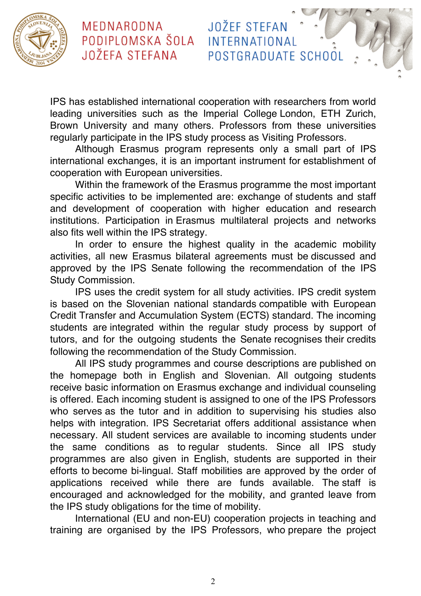

## MEDNARODNA PODIPLOMSKA ŠOLA JOŽEFA STEFANA

IPS has established international cooperation with researchers from world leading universities such as the Imperial College London, ETH Zurich, Brown University and many others. Professors from these universities regularly participate in the IPS study process as Visiting Professors.

**JOŽEF STEFAN** 

INTERNATIONAL

POSTGRADUATE SCHOOL

Although Erasmus program represents only a small part of IPS international exchanges, it is an important instrument for establishment of cooperation with European universities.

Within the framework of the Erasmus programme the most important specific activities to be implemented are: exchange of students and staff and development of cooperation with higher education and research institutions. Participation in Erasmus multilateral projects and networks also fits well within the IPS strategy.

In order to ensure the highest quality in the academic mobility activities, all new Erasmus bilateral agreements must be discussed and approved by the IPS Senate following the recommendation of the IPS Study Commission.

IPS uses the credit system for all study activities. IPS credit system is based on the Slovenian national standards compatible with European Credit Transfer and Accumulation System (ECTS) standard. The incoming students are integrated within the regular study process by support of tutors, and for the outgoing students the Senate recognises their credits following the recommendation of the Study Commission.

All IPS study programmes and course descriptions are published on the homepage both in English and Slovenian. All outgoing students receive basic information on Erasmus exchange and individual counseling is offered. Each incoming student is assigned to one of the IPS Professors who serves as the tutor and in addition to supervising his studies also helps with integration. IPS Secretariat offers additional assistance when necessary. All student services are available to incoming students under the same conditions as to regular students. Since all IPS study programmes are also given in English, students are supported in their efforts to become bi-lingual. Staff mobilities are approved by the order of applications received while there are funds available. The staff is encouraged and acknowledged for the mobility, and granted leave from the IPS study obligations for the time of mobility.

International (EU and non-EU) cooperation projects in teaching and training are organised by the IPS Professors, who prepare the project